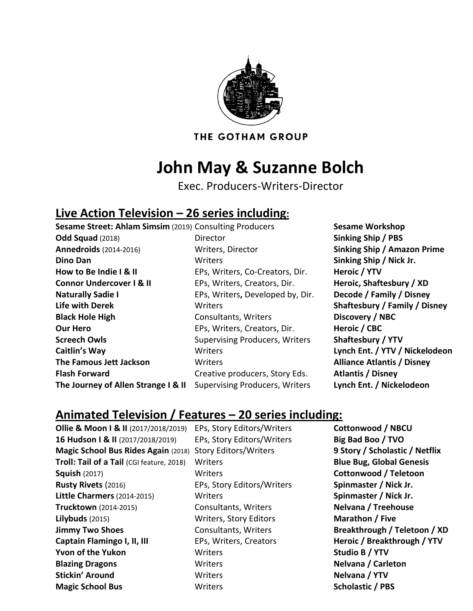

THE GOTHAM GROUP

## **John May & Suzanne Bolch**

Exec. Producers-Writers-Director

## **Live Action Television – 26 series including:**

**Sesame Street: Ahlam Simsim** (2019) Consulting Producers **Sesame Workshop Odd Squad** (2018) Director **Sinking Ship / PBS Annedroids** (2014-2016) Writers, Director **Sinking Ship / Amazon Prime Dino Dan Sinking Ship / Nick Jr. Sinking Ship / Nick Jr. Sinking Ship / Nick Jr. How to Be Indie I & II** EPs, Writers, Co-Creators, Dir. **Heroic / YTV Connor Undercover I & II** EPs, Writers, Creators, Dir. **Heroic, Shaftesbury / XD Naturally Sadie I** EPs, Writers**,** Developed by, Dir. **Decode / Family / Disney Life with Derek** Writers **Shaftesbury / Family / Disney Black Hole High Consultants, Writers Consultants, Writers Black Hole Consultants, Writers Consultants Our Hero EPs, Writers, Creators, Dir. Heroic / CBC Screech Owls Supervising Producers, Writers Shaftesbury / YTV Caitlin's Way** Writers **Lynch Ent. / YTV / Nickelodeon The Famous Jett Jackson** Writers **Alliance Atlantis / Disney Flash Forward** Creative producers, Story Eds. **Atlantis / Disney The Journey of Allen Strange I & II** Supervising Producers, Writers **Lynch Ent. / Nickelodeon**

## **Animated Television / Features – 20 series including:**

**Ollie & Moon I & II** (2017/2018/2019) EPs, Story Editors/Writers **Cottonwood / NBCU 16 Hudson I & II** (2017/2018/2019) EPs, Story Editors/Writers **Big Bad Boo / TVO Magic School Bus Rides Again** (2018) Story Editors/Writers **9 Story / Scholastic / Netflix Troll: Tail of a Tail** (CGI feature, 2018) Writers **Blue Bug, Global Genesis Blue Bug, Global Genesis Squish** (2017) Writers **Cottonwood / Teletoon Rusty Rivets** (2016) EPs, Story Editors/Writers **Spinmaster / Nick Jr. Little Charmers**(2014-2015) Writers **Spinmaster / Nick Jr. Trucktown** (2014-2015) Consultants, Writers **Nelvana / Treehouse Lilybuds** (2015) Writers, Story Editors **Marathon / Five Jimmy Two Shoes Consultants, Writers Breakthrough / Teletoon / XD Captain Flamingo I, II, III** EPs, Writers, Creators **Heroic / Breakthrough / YTV Yvon of the Yukon** Writers **Studio B / YTV Blazing Dragons** Writers **Nelvana / Carleton Stickin' Around** Writers **Nelvana / YTV Magic School Bus Scholastic / PBS Writers Scholastic / PBS Scholastic / PBS**